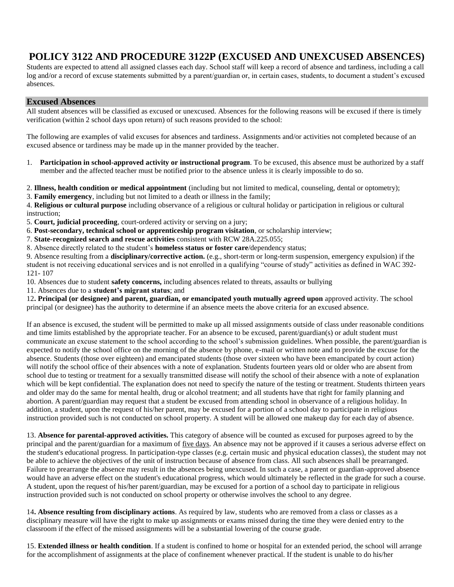# **POLICY 3122 AND PROCEDURE 3122P (EXCUSED AND UNEXCUSED ABSENCES)**

Students are expected to attend all assigned classes each day. School staff will keep a record of absence and tardiness, including a call log and/or a record of excuse statements submitted by a parent/guardian or, in certain cases, students, to document a student's excused absences.

## **Excused Absences**

All student absences will be classified as excused or unexcused. Absences for the following reasons will be excused if there is timely verification (within 2 school days upon return) of such reasons provided to the school:

The following are examples of valid excuses for absences and tardiness. Assignments and/or activities not completed because of an excused absence or tardiness may be made up in the manner provided by the teacher.

1. **Participation in school-approved activity or instructional program**. To be excused, this absence must be authorized by a staff member and the affected teacher must be notified prior to the absence unless it is clearly impossible to do so.

2. **Illness, health condition or medical appointment** (including but not limited to medical, counseling, dental or optometry);

3. **Family emergency**, including but not limited to a death or illness in the family;

4. **Religious or cultural purpose** including observance of a religious or cultural holiday or participation in religious or cultural instruction;

5. **Court, judicial proceeding**, court-ordered activity or serving on a jury;

6. **Post-secondary, technical school or apprenticeship program visitation**, or scholarship interview;

7. **State-recognized search and rescue activities** consistent with RCW 28A.225.055;

8. Absence directly related to the student's **homeless status or foster care**/dependency status;

9. Absence resulting from a **disciplinary/corrective action.** (e.g., short-term or long-term suspension, emergency expulsion) if the student is not receiving educational services and is not enrolled in a qualifying "course of study" activities as defined in WAC 392- 121- 107

10. Absences due to student **safety concerns,** including absences related to threats, assaults or bullying

11. Absences due to a **student's migrant status**; and

12**. Principal (or designee) and parent, guardian, or emancipated youth mutually agreed upon** approved activity. The school principal (or designee) has the authority to determine if an absence meets the above criteria for an excused absence.

If an absence is excused, the student will be permitted to make up all missed assignments outside of class under reasonable conditions and time limits established by the appropriate teacher. For an absence to be excused, parent/guardian(s) or adult student must communicate an excuse statement to the school according to the school's submission guidelines. When possible, the parent/guardian is expected to notify the school office on the morning of the absence by phone, e-mail or written note and to provide the excuse for the absence. Students (those over eighteen) and emancipated students (those over sixteen who have been emancipated by court action) will notify the school office of their absences with a note of explanation. Students fourteen years old or older who are absent from school due to testing or treatment for a sexually transmitted disease will notify the school of their absence with a note of explanation which will be kept confidential. The explanation does not need to specify the nature of the testing or treatment. Students thirteen years and older may do the same for mental health, drug or alcohol treatment; and all students have that right for family planning and abortion. A parent/guardian may request that a student be excused from attending school in observance of a religious holiday. In addition, a student, upon the request of his/her parent, may be excused for a portion of a school day to participate in religious instruction provided such is not conducted on school property. A student will be allowed one makeup day for each day of absence.

13. **Absence for parental-approved activities.** This category of absence will be counted as excused for purposes agreed to by the principal and the parent/guardian for a maximum of five days. An absence may not be approved if it causes a serious adverse effect on the student's educational progress. In participation-type classes (e.g. certain music and physical education classes), the student may not be able to achieve the objectives of the unit of instruction because of absence from class. All such absences shall be prearranged. Failure to prearrange the absence may result in the absences being unexcused. In such a case, a parent or guardian-approved absence would have an adverse effect on the student's educational progress, which would ultimately be reflected in the grade for such a course. A student, upon the request of his/her parent/guardian, may be excused for a portion of a school day to participate in religious instruction provided such is not conducted on school property or otherwise involves the school to any degree.

14**. Absence resulting from disciplinary actions**. As required by law, students who are removed from a class or classes as a disciplinary measure will have the right to make up assignments or exams missed during the time they were denied entry to the classroom if the effect of the missed assignments will be a substantial lowering of the course grade.

15. **Extended illness or health condition**. If a student is confined to home or hospital for an extended period, the school will arrange for the accomplishment of assignments at the place of confinement whenever practical. If the student is unable to do his/her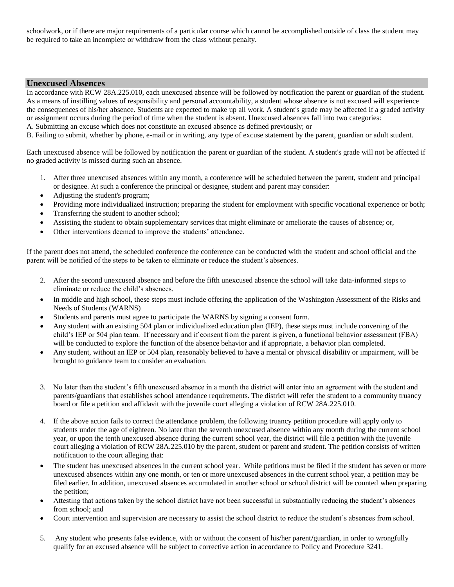schoolwork, or if there are major requirements of a particular course which cannot be accomplished outside of class the student may be required to take an incomplete or withdraw from the class without penalty.

## **Unexcused Absences**

In accordance with RCW 28A.225.010, each unexcused absence will be followed by notification the parent or guardian of the student. As a means of instilling values of responsibility and personal accountability, a student whose absence is not excused will experience the consequences of his/her absence. Students are expected to make up all work. A student's grade may be affected if a graded activity or assignment occurs during the period of time when the student is absent. Unexcused absences fall into two categories:

A. Submitting an excuse which does not constitute an excused absence as defined previously; or

B. Failing to submit, whether by phone, e-mail or in writing, any type of excuse statement by the parent, guardian or adult student.

Each unexcused absence will be followed by notification the parent or guardian of the student. A student's grade will not be affected if no graded activity is missed during such an absence.

- 1. After three unexcused absences within any month, a conference will be scheduled between the parent, student and principal or designee. At such a conference the principal or designee, student and parent may consider:
- Adjusting the student's program;
- Providing more individualized instruction; preparing the student for employment with specific vocational experience or both;
- Transferring the student to another school;
- Assisting the student to obtain supplementary services that might eliminate or ameliorate the causes of absence; or,
- Other interventions deemed to improve the students' attendance.

If the parent does not attend, the scheduled conference the conference can be conducted with the student and school official and the parent will be notified of the steps to be taken to eliminate or reduce the student's absences.

- 2. After the second unexcused absence and before the fifth unexcused absence the school will take data-informed steps to eliminate or reduce the child's absences.
- In middle and high school, these steps must include offering the application of the Washington Assessment of the Risks and Needs of Students (WARNS)
- Students and parents must agree to participate the WARNS by signing a consent form.
- Any student with an existing 504 plan or individualized education plan (IEP), these steps must include convening of the child's IEP or 504 plan team. If necessary and if consent from the parent is given, a functional behavior assessment (FBA) will be conducted to explore the function of the absence behavior and if appropriate, a behavior plan completed.
- Any student, without an IEP or 504 plan, reasonably believed to have a mental or physical disability or impairment, will be brought to guidance team to consider an evaluation.
- 3. No later than the student's fifth unexcused absence in a month the district will enter into an agreement with the student and parents/guardians that establishes school attendance requirements. The district will refer the student to a community truancy board or file a petition and affidavit with the juvenile court alleging a violation of RCW 28A.225.010.
- 4. If the above action fails to correct the attendance problem, the following truancy petition procedure will apply only to students under the age of eighteen. No later than the seventh unexcused absence within any month during the current school year, or upon the tenth unexcused absence during the current school year, the district will file a petition with the juvenile court alleging a violation of RCW 28A.225.010 by the parent, student or parent and student. The petition consists of written notification to the court alleging that:
- The student has unexcused absences in the current school year. While petitions must be filed if the student has seven or more unexcused absences within any one month, or ten or more unexcused absences in the current school year, a petition may be filed earlier. In addition, unexcused absences accumulated in another school or school district will be counted when preparing the petition;
- Attesting that actions taken by the school district have not been successful in substantially reducing the student's absences from school; and
- Court intervention and supervision are necessary to assist the school district to reduce the student's absences from school.
- 5. Any student who presents false evidence, with or without the consent of his/her parent**/**guardian, in order to wrongfully qualify for an excused absence will be subject to corrective action in accordance to Policy and Procedure 3241.